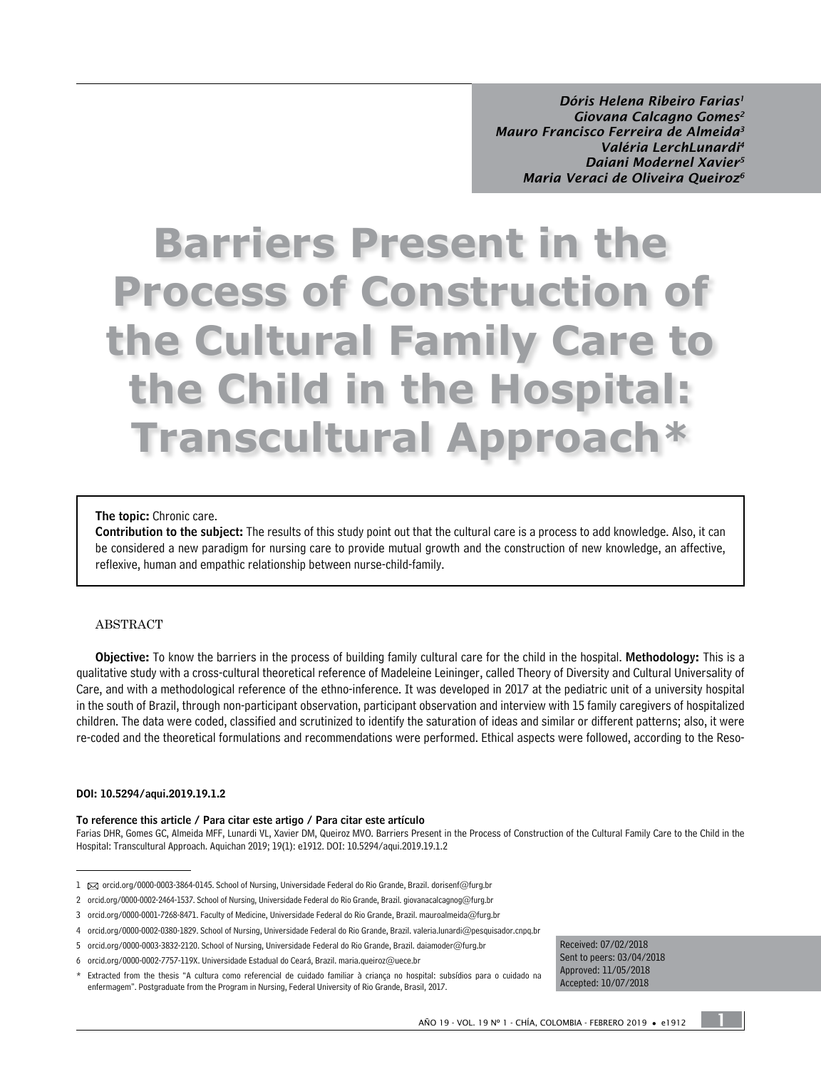*Dóris Helena Ribeiro Farias1 Giovana Calcagno Gomes2 Mauro Francisco Ferreira de Almeida3 Valéria LerchLunardi4 Daiani Modernel Xavier5 Maria Veraci de Oliveira Queiroz6*

# **Barriers Present in the Process of Construction of the Cultural Family Care to the Child in the Hospital: Transcultural Approach\***

#### The topic: Chronic care.

Contribution to the subject: The results of this study point out that the cultural care is a process to add knowledge. Also, it can be considered a new paradigm for nursing care to provide mutual growth and the construction of new knowledge, an affective, reflexive, human and empathic relationship between nurse-child-family.

#### ABSTRACT

Objective: To know the barriers in the process of building family cultural care for the child in the hospital. Methodology: This is a qualitative study with a cross-cultural theoretical reference of Madeleine Leininger, called Theory of Diversity and Cultural Universality of Care, and with a methodological reference of the ethno-inference. It was developed in 2017 at the pediatric unit of a university hospital in the south of Brazil, through non-participant observation, participant observation and interview with 15 family caregivers of hospitalized children. The data were coded, classified and scrutinized to identify the saturation of ideas and similar or different patterns; also, it were re-coded and the theoretical formulations and recommendations were performed. Ethical aspects were followed, according to the Reso-

#### DOI: [10.5294/aqui.2019.19.1.2](http://dx.doi.org/10.5294/aqui.2019.19.1.2)

To reference this article / Para citar este artigo / Para citar este artículo

Farias DHR, Gomes GC, Almeida MFF, Lunardi VL, Xavier DM, Queiroz MVO. Barriers Present in the Process of Construction of the Cultural Family Care to the Child in the Hospital: Transcultural Approach. Aquichan 2019; 19(1): e1912. DOI: [10.5294/aqui.2019.19.1.2](http://dx.doi.org/10.5294/aqui.2019.19.1.2)

Received: 07/02/2018 Sent to peers: 03/04/2018 Approved: 11/05/2018 Accepted: 10/07/2018

1

<sup>1 △</sup> [orcid.org/0000-0003-3864-0145. S](http://orcid.org/0000-0003-3864-0145)chool of Nursing, Universidade Federal do Rio Grande, Brazil. dorisenf@furg.br

<sup>2</sup> [orcid.org/0000-0002-2464-1537.](http://orcid.org/0000-0002-2464-1537. ) School of Nursing, Universidade Federal do Rio Grande, Brazil. giovanacalcagnog@furg.br

<sup>3</sup> [orcid.org/0000-0001-7268-8471. F](http://orcid.org/0000-0001-7268-8471. )aculty of Medicine, Universidade Federal do Rio Grande, Brazil. mauroalmeida@furg.br

<sup>4</sup> [orcid.org/0000-0002-0380-1829.](http://orcid.org/0000-0002-0380-1829.) School of Nursing, Universidade Federal do Rio Grande, Brazil. valeria.lunardi@pesquisador.cnpq.br

<sup>5</sup> [orcid.org/0000-0003-3832-2120.](http://orcid.org/0000-0003-3832-2120.) School of Nursing, Universidade Federal do Rio Grande, Brazil. daiamoder@furg.br

<sup>6</sup> [orcid.org/0000-0002-7757-119X. U](http://orcid.org/0000-0002-7757-119X. )niversidade Estadual do Ceará, Brazil. maria.queiroz@uece.br

<sup>\*</sup> Extracted from the thesis "A cultura como referencial de cuidado familiar à criança no hospital: subsídios para o cuidado na enfermagem". Postgraduate from the Program in Nursing, Federal University of Rio Grande, Brasil, 2017.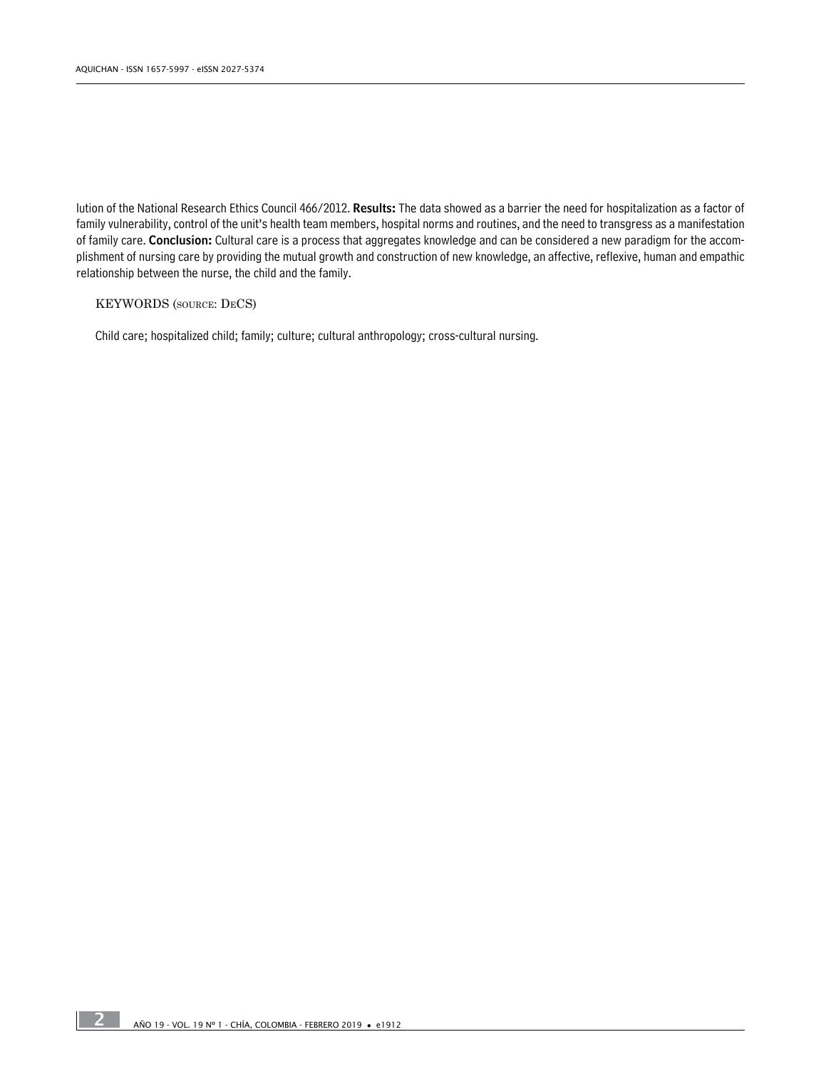lution of the National Research Ethics Council 466/2012. Results: The data showed as a barrier the need for hospitalization as a factor of family vulnerability, control of the unit's health team members, hospital norms and routines, and the need to transgress as a manifestation of family care. Conclusion: Cultural care is a process that aggregates knowledge and can be considered a new paradigm for the accomplishment of nursing care by providing the mutual growth and construction of new knowledge, an affective, reflexive, human and empathic relationship between the nurse, the child and the family.

#### KEYWORDS (source: DeCS)

Child care; hospitalized child; family; culture; cultural anthropology; cross-cultural nursing.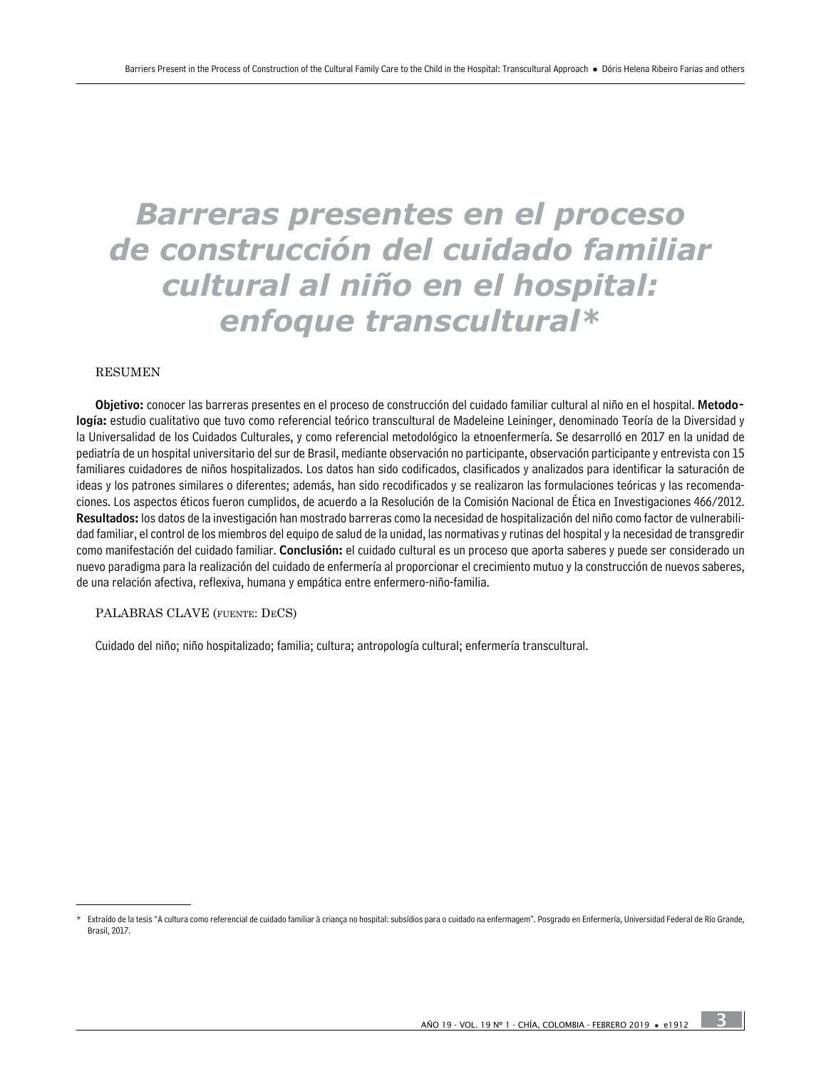# *Barreras presentes en el proceso de construcción del cuidado familiar cultural al niño en el hospital: enfoque transcultural\**

#### RESUMEN

Objetivo: conocer las barreras presentes en el proceso de construcción del cuidado familiar cultural al niño en el hospital. Metodología: estudio cualitativo que tuvo como referencial teórico transcultural de Madeleine Leininger, denominado Teoría de la Diversidad y la Universalidad de los Cuidados Culturales, y como referencial metodológico la etnoenfermería. Se desarrolló en 2017 en la unidad de pediatría de un hospital universitario del sur de Brasil, mediante observación no participante, observación participante y entrevista con 15 familiares cuidadores de niños hospitalizados. Los datos han sido codificados, clasificados y analizados para identificar la saturación de ideas y los patrones similares o diferentes; además, han sido recodificados y se realizaron las formulaciones teóricas y las recomendaciones. Los aspectos éticos fueron cumplidos, de acuerdo a la Resolución de la Comisión Nacional de Ética en Investigaciones 466/2012. Resultados: los datos de la investigación han mostrado barreras como la necesidad de hospitalización del niño como factor de vulnerabilidad familiar, el control de los miembros del equipo de salud de la unidad, las normativas y rutinas del hospital y la necesidad de transgredir como manifestación del cuidado familiar. Conclusión: el cuidado cultural es un proceso que aporta saberes y puede ser considerado un nuevo paradigma para la realización del cuidado de enfermería al proporcionar el crecimiento mutuo y la construcción de nuevos saberes, de una relación afectiva, reflexiva, humana y empática entre enfermero-niño-familia.

#### PALABRAS CLAVE (fuente: DeCS)

Cuidado del niño; niño hospitalizado; familia; cultura; antropología cultural; enfermería transcultural.

Extraído de la tesis "A cultura como referencial de cuidado familiar à criança no hospital: subsídios para o cuidado na enfermagem". Posgrado en Enfermería, Universidad Federal de Río Grande, Brasil, 2017.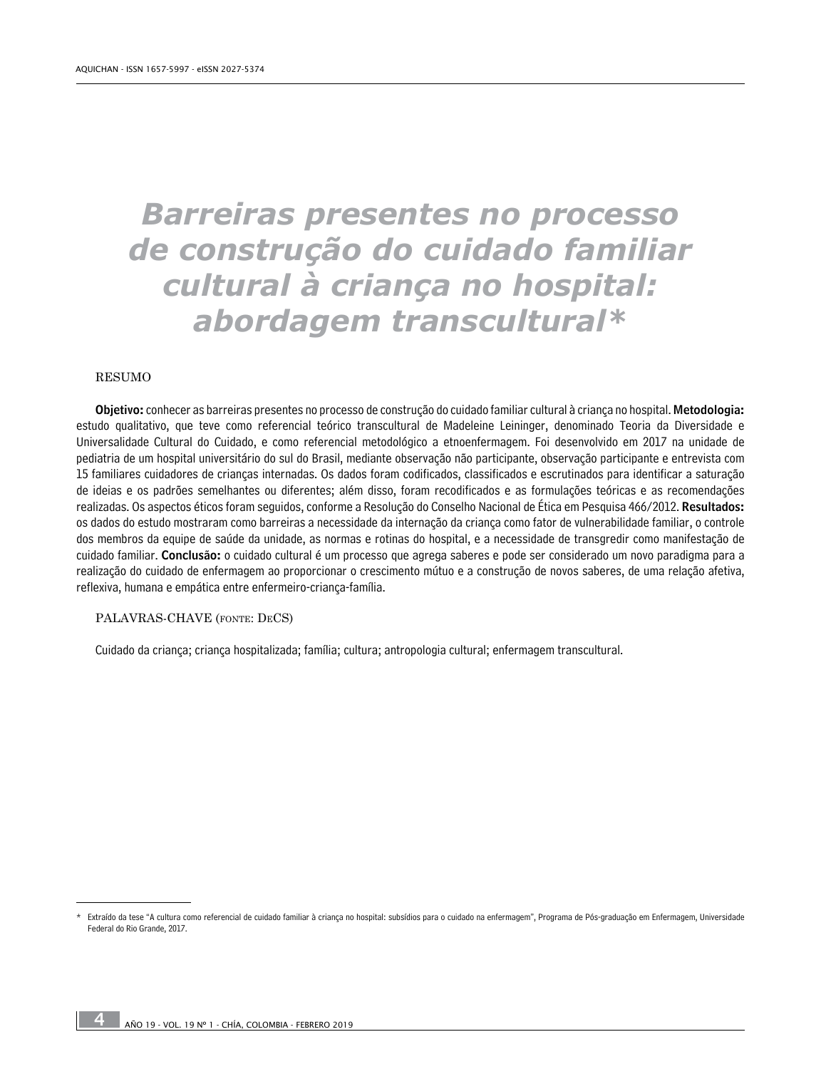# *Barreiras presentes no processo de construção do cuidado familiar cultural à criança no hospital: abordagem transcultural\**

#### RESUMO

Objetivo: conhecer as barreiras presentes no processo de construção do cuidado familiar cultural à criança no hospital. Metodologia: estudo qualitativo, que teve como referencial teórico transcultural de Madeleine Leininger, denominado Teoria da Diversidade e Universalidade Cultural do Cuidado, e como referencial metodológico a etnoenfermagem. Foi desenvolvido em 2017 na unidade de pediatria de um hospital universitário do sul do Brasil, mediante observação não participante, observação participante e entrevista com 15 familiares cuidadores de crianças internadas. Os dados foram codificados, classificados e escrutinados para identificar a saturação de ideias e os padrões semelhantes ou diferentes; além disso, foram recodificados e as formulações teóricas e as recomendações realizadas. Os aspectos éticos foram seguidos, conforme a Resolução do Conselho Nacional de Ética em Pesquisa 466/2012. Resultados: os dados do estudo mostraram como barreiras a necessidade da internação da criança como fator de vulnerabilidade familiar, o controle dos membros da equipe de saúde da unidade, as normas e rotinas do hospital, e a necessidade de transgredir como manifestação de cuidado familiar. Conclusão: o cuidado cultural é um processo que agrega saberes e pode ser considerado um novo paradigma para a realização do cuidado de enfermagem ao proporcionar o crescimento mútuo e a construção de novos saberes, de uma relação afetiva, reflexiva, humana e empática entre enfermeiro-criança-família.

#### PALAVRAS-CHAVE (fonte: DeCS)

Cuidado da criança; criança hospitalizada; família; cultura; antropologia cultural; enfermagem transcultural.

Extraído da tese "A cultura como referencial de cuidado familiar à criança no hospital: subsídios para o cuidado na enfermagem", Programa de Pós-graduação em Enfermagem, Universidade Federal do Rio Grande, 2017.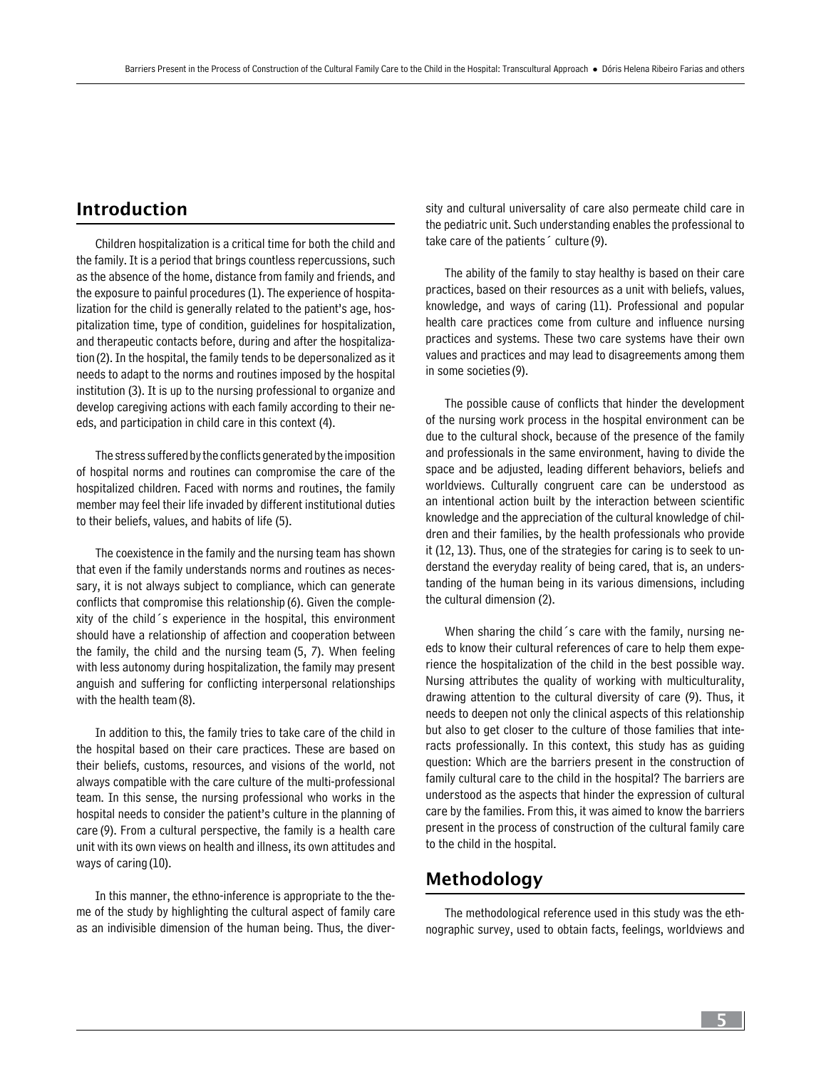# Introduction

Children hospitalization is a critical time for both the child and the family. It is a period that brings countless repercussions, such as the absence of the home, distance from family and friends, and the exposure to painful procedures (1). The experience of hospitalization for the child is generally related to the patient's age, hospitalization time, type of condition, guidelines for hospitalization, and therapeutic contacts before, during and after the hospitalization (2). In the hospital, the family tends to be depersonalized as it needs to adapt to the norms and routines imposed by the hospital institution (3). It is up to the nursing professional to organize and develop caregiving actions with each family according to their needs, and participation in child care in this context (4).

The stress suffered by the conflicts generated by the imposition of hospital norms and routines can compromise the care of the hospitalized children. Faced with norms and routines, the family member may feel their life invaded by different institutional duties to their beliefs, values, and habits of life (5).

The coexistence in the family and the nursing team has shown that even if the family understands norms and routines as necessary, it is not always subject to compliance, which can generate conflicts that compromise this relationship (6). Given the complexity of the child´s experience in the hospital, this environment should have a relationship of affection and cooperation between the family, the child and the nursing team (5, 7). When feeling with less autonomy during hospitalization, the family may present anguish and suffering for conflicting interpersonal relationships with the health team(8).

In addition to this, the family tries to take care of the child in the hospital based on their care practices. These are based on their beliefs, customs, resources, and visions of the world, not always compatible with the care culture of the multi-professional team. In this sense, the nursing professional who works in the hospital needs to consider the patient's culture in the planning of care (9). From a cultural perspective, the family is a health care unit with its own views on health and illness, its own attitudes and ways of caring (10).

In this manner, the ethno-inference is appropriate to the theme of the study by highlighting the cultural aspect of family care as an indivisible dimension of the human being. Thus, the diversity and cultural universality of care also permeate child care in the pediatric unit. Such understanding enables the professional to take care of the patients´ culture (9).

The ability of the family to stay healthy is based on their care practices, based on their resources as a unit with beliefs, values, knowledge, and ways of caring (11). Professional and popular health care practices come from culture and influence nursing practices and systems. These two care systems have their own values and practices and may lead to disagreements among them in some societies (9).

The possible cause of conflicts that hinder the development of the nursing work process in the hospital environment can be due to the cultural shock, because of the presence of the family and professionals in the same environment, having to divide the space and be adjusted, leading different behaviors, beliefs and worldviews. Culturally congruent care can be understood as an intentional action built by the interaction between scientific knowledge and the appreciation of the cultural knowledge of children and their families, by the health professionals who provide it (12, 13). Thus, one of the strategies for caring is to seek to understand the everyday reality of being cared, that is, an understanding of the human being in its various dimensions, including the cultural dimension (2).

When sharing the child´s care with the family, nursing needs to know their cultural references of care to help them experience the hospitalization of the child in the best possible way. Nursing attributes the quality of working with multiculturality, drawing attention to the cultural diversity of care (9). Thus, it needs to deepen not only the clinical aspects of this relationship but also to get closer to the culture of those families that interacts professionally. In this context, this study has as guiding question: Which are the barriers present in the construction of family cultural care to the child in the hospital? The barriers are understood as the aspects that hinder the expression of cultural care by the families. From this, it was aimed to know the barriers present in the process of construction of the cultural family care to the child in the hospital.

# Methodology

The methodological reference used in this study was the ethnographic survey, used to obtain facts, feelings, worldviews and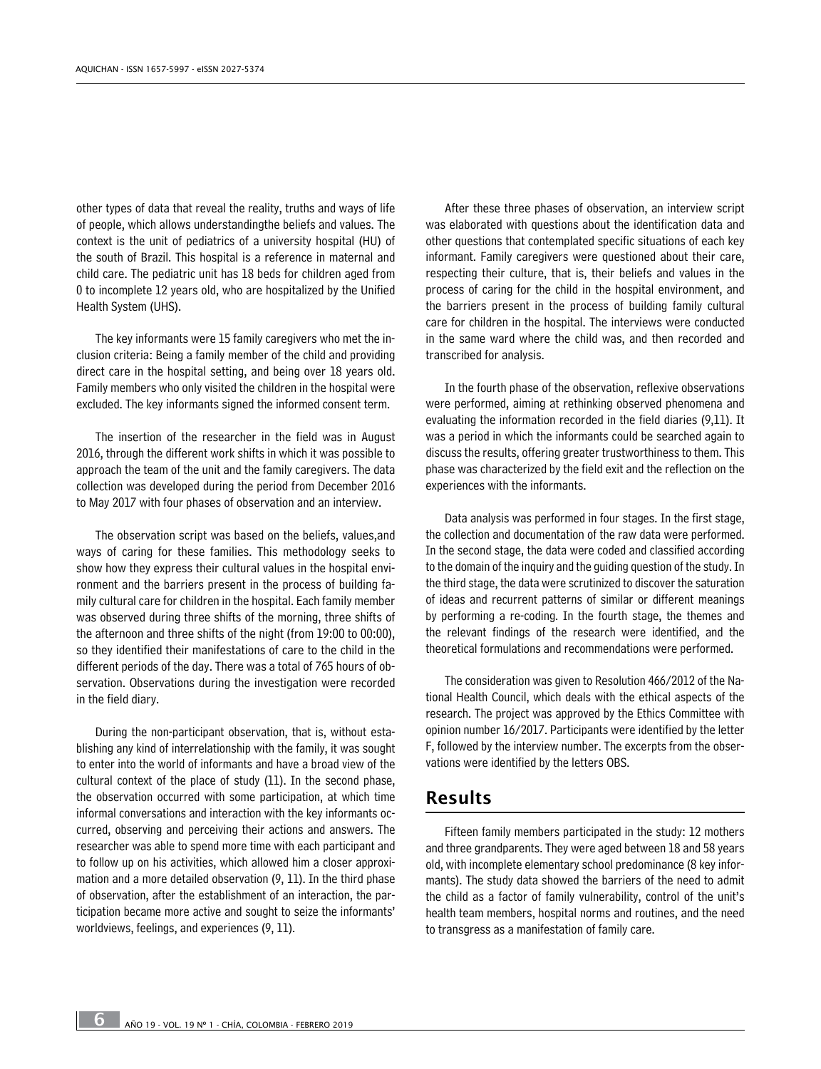other types of data that reveal the reality, truths and ways of life of people, which allows understandingthe beliefs and values. The context is the unit of pediatrics of a university hospital (HU) of the south of Brazil. This hospital is a reference in maternal and child care. The pediatric unit has 18 beds for children aged from 0 to incomplete 12 years old, who are hospitalized by the Unified Health System (UHS).

The key informants were 15 family caregivers who met the inclusion criteria: Being a family member of the child and providing direct care in the hospital setting, and being over 18 years old. Family members who only visited the children in the hospital were excluded. The key informants signed the informed consent term.

The insertion of the researcher in the field was in August 2016, through the different work shifts in which it was possible to approach the team of the unit and the family caregivers. The data collection was developed during the period from December 2016 to May 2017 with four phases of observation and an interview.

The observation script was based on the beliefs, values,and ways of caring for these families. This methodology seeks to show how they express their cultural values in the hospital environment and the barriers present in the process of building family cultural care for children in the hospital. Each family member was observed during three shifts of the morning, three shifts of the afternoon and three shifts of the night (from 19:00 to 00:00), so they identified their manifestations of care to the child in the different periods of the day. There was a total of 765 hours of observation. Observations during the investigation were recorded in the field diary.

During the non-participant observation, that is, without establishing any kind of interrelationship with the family, it was sought to enter into the world of informants and have a broad view of the cultural context of the place of study (11). In the second phase, the observation occurred with some participation, at which time informal conversations and interaction with the key informants occurred, observing and perceiving their actions and answers. The researcher was able to spend more time with each participant and to follow up on his activities, which allowed him a closer approximation and a more detailed observation (9, 11). In the third phase of observation, after the establishment of an interaction, the participation became more active and sought to seize the informants' worldviews, feelings, and experiences (9, 11).

After these three phases of observation, an interview script was elaborated with questions about the identification data and other questions that contemplated specific situations of each key informant. Family caregivers were questioned about their care, respecting their culture, that is, their beliefs and values in the process of caring for the child in the hospital environment, and the barriers present in the process of building family cultural care for children in the hospital. The interviews were conducted in the same ward where the child was, and then recorded and transcribed for analysis.

In the fourth phase of the observation, reflexive observations were performed, aiming at rethinking observed phenomena and evaluating the information recorded in the field diaries (9,11). It was a period in which the informants could be searched again to discuss the results, offering greater trustworthiness to them. This phase was characterized by the field exit and the reflection on the experiences with the informants.

Data analysis was performed in four stages. In the first stage, the collection and documentation of the raw data were performed. In the second stage, the data were coded and classified according to the domain of the inquiry and the guiding question of the study. In the third stage, the data were scrutinized to discover the saturation of ideas and recurrent patterns of similar or different meanings by performing a re-coding. In the fourth stage, the themes and the relevant findings of the research were identified, and the theoretical formulations and recommendations were performed.

The consideration was given to Resolution 466/2012 of the National Health Council, which deals with the ethical aspects of the research. The project was approved by the Ethics Committee with opinion number 16/2017. Participants were identified by the letter F, followed by the interview number. The excerpts from the observations were identified by the letters OBS.

#### Results

Fifteen family members participated in the study: 12 mothers and three grandparents. They were aged between 18 and 58 years old, with incomplete elementary school predominance (8 key informants). The study data showed the barriers of the need to admit the child as a factor of family vulnerability, control of the unit's health team members, hospital norms and routines, and the need to transgress as a manifestation of family care.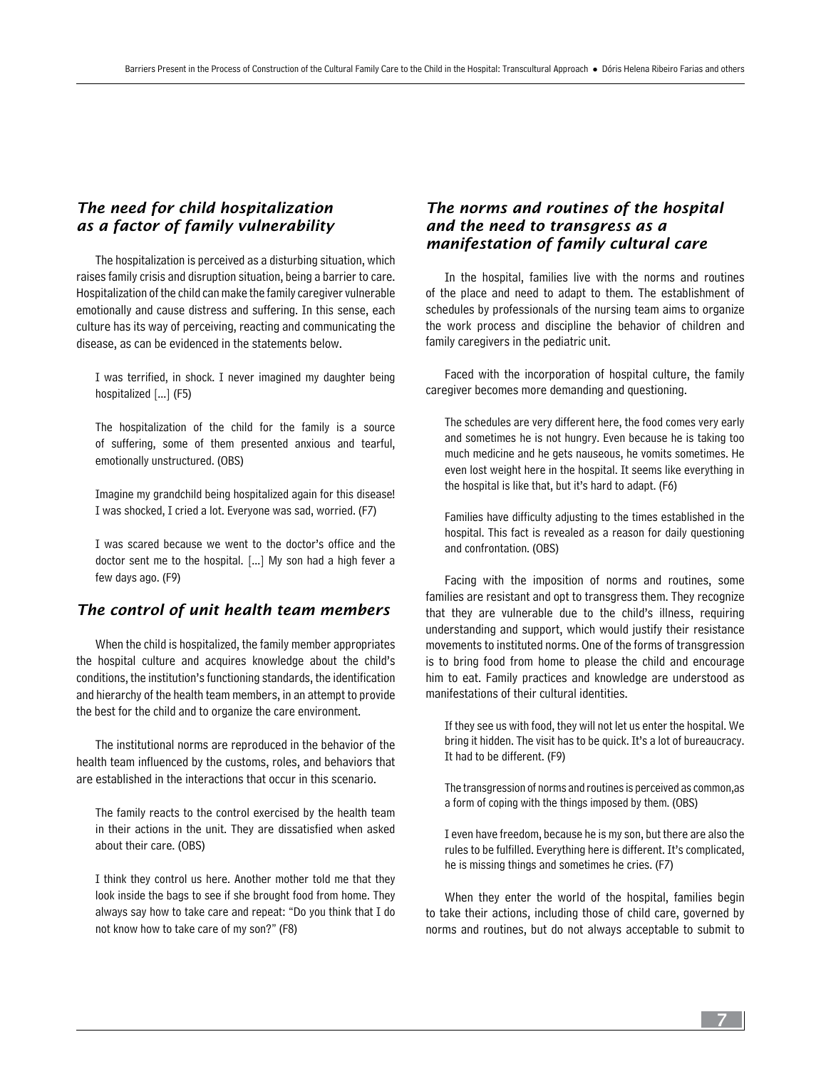## *The need for child hospitalization as a factor of family vulnerability*

The hospitalization is perceived as a disturbing situation, which raises family crisis and disruption situation, being a barrier to care. Hospitalization of the child can make the family caregiver vulnerable emotionally and cause distress and suffering. In this sense, each culture has its way of perceiving, reacting and communicating the disease, as can be evidenced in the statements below.

I was terrified, in shock. I never imagined my daughter being hospitalized [...] (F5)

The hospitalization of the child for the family is a source of suffering, some of them presented anxious and tearful, emotionally unstructured. (OBS)

Imagine my grandchild being hospitalized again for this disease! I was shocked, I cried a lot. Everyone was sad, worried. (F7)

I was scared because we went to the doctor's office and the doctor sent me to the hospital. [...] My son had a high fever a few days ago. (F9)

### *The control of unit health team members*

When the child is hospitalized, the family member appropriates the hospital culture and acquires knowledge about the child's conditions, the institution's functioning standards, the identification and hierarchy of the health team members, in an attempt to provide the best for the child and to organize the care environment.

The institutional norms are reproduced in the behavior of the health team influenced by the customs, roles, and behaviors that are established in the interactions that occur in this scenario.

The family reacts to the control exercised by the health team in their actions in the unit. They are dissatisfied when asked about their care. (OBS)

I think they control us here. Another mother told me that they look inside the bags to see if she brought food from home. They always say how to take care and repeat: "Do you think that I do not know how to take care of my son?" (F8)

## *The norms and routines of the hospital and the need to transgress as a manifestation of family cultural care*

In the hospital, families live with the norms and routines of the place and need to adapt to them. The establishment of schedules by professionals of the nursing team aims to organize the work process and discipline the behavior of children and family caregivers in the pediatric unit.

Faced with the incorporation of hospital culture, the family caregiver becomes more demanding and questioning.

The schedules are very different here, the food comes very early and sometimes he is not hungry. Even because he is taking too much medicine and he gets nauseous, he vomits sometimes. He even lost weight here in the hospital. It seems like everything in the hospital is like that, but it's hard to adapt. (F6)

Families have difficulty adjusting to the times established in the hospital. This fact is revealed as a reason for daily questioning and confrontation. (OBS)

Facing with the imposition of norms and routines, some families are resistant and opt to transgress them. They recognize that they are vulnerable due to the child's illness, requiring understanding and support, which would justify their resistance movements to instituted norms. One of the forms of transgression is to bring food from home to please the child and encourage him to eat. Family practices and knowledge are understood as manifestations of their cultural identities.

If they see us with food, they will not let us enter the hospital. We bring it hidden. The visit has to be quick. It's a lot of bureaucracy. It had to be different. (F9)

The transgression of norms and routines is perceived as common,as a form of coping with the things imposed by them. (OBS)

I even have freedom, because he is my son, but there are also the rules to be fulfilled. Everything here is different. It's complicated, he is missing things and sometimes he cries. (F7)

When they enter the world of the hospital, families begin to take their actions, including those of child care, governed by norms and routines, but do not always acceptable to submit to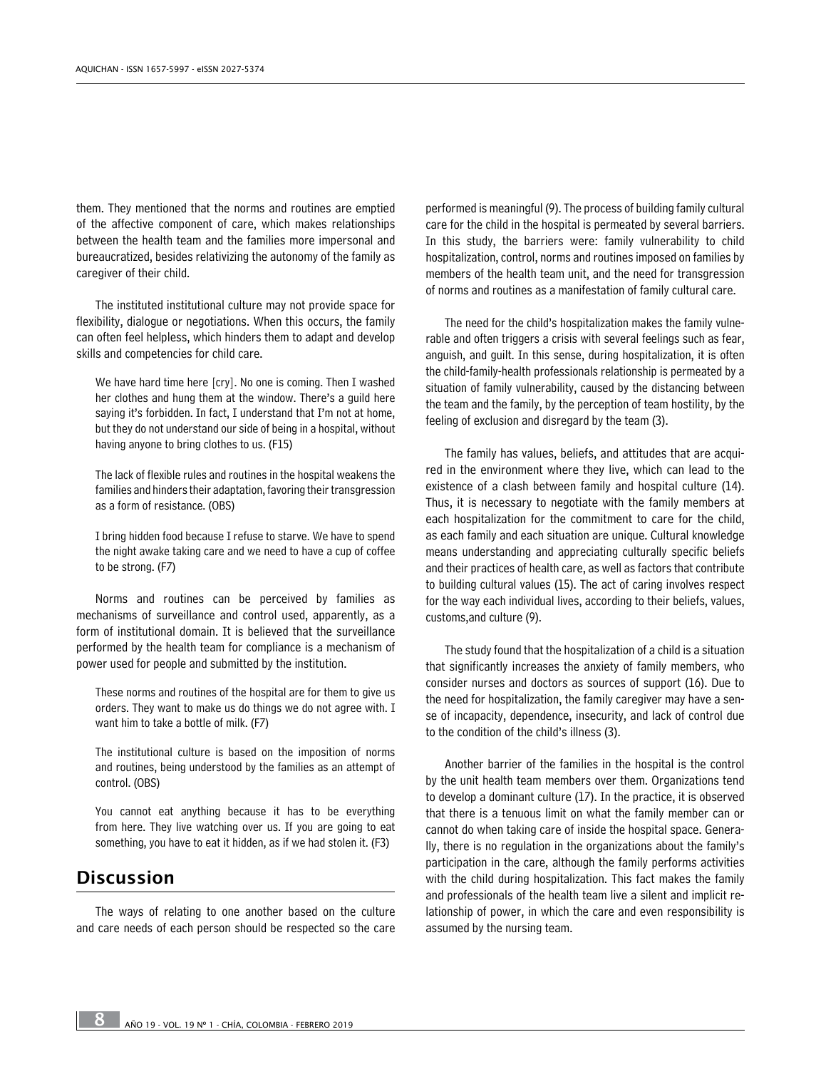them. They mentioned that the norms and routines are emptied of the affective component of care, which makes relationships between the health team and the families more impersonal and bureaucratized, besides relativizing the autonomy of the family as caregiver of their child.

The instituted institutional culture may not provide space for flexibility, dialogue or negotiations. When this occurs, the family can often feel helpless, which hinders them to adapt and develop skills and competencies for child care.

We have hard time here [cry]. No one is coming. Then I washed her clothes and hung them at the window. There's a guild here saying it's forbidden. In fact, I understand that I'm not at home, but they do not understand our side of being in a hospital, without having anyone to bring clothes to us. (F15)

The lack of flexible rules and routines in the hospital weakens the families and hinders their adaptation, favoring their transgression as a form of resistance. (OBS)

I bring hidden food because I refuse to starve. We have to spend the night awake taking care and we need to have a cup of coffee to be strong. (F7)

Norms and routines can be perceived by families as mechanisms of surveillance and control used, apparently, as a form of institutional domain. It is believed that the surveillance performed by the health team for compliance is a mechanism of power used for people and submitted by the institution.

These norms and routines of the hospital are for them to give us orders. They want to make us do things we do not agree with. I want him to take a bottle of milk. (F7)

The institutional culture is based on the imposition of norms and routines, being understood by the families as an attempt of control. (OBS)

You cannot eat anything because it has to be everything from here. They live watching over us. If you are going to eat something, you have to eat it hidden, as if we had stolen it. (F3)

# Discussion

The ways of relating to one another based on the culture and care needs of each person should be respected so the care

performed is meaningful (9). The process of building family cultural care for the child in the hospital is permeated by several barriers. In this study, the barriers were: family vulnerability to child hospitalization, control, norms and routines imposed on families by members of the health team unit, and the need for transgression of norms and routines as a manifestation of family cultural care.

The need for the child's hospitalization makes the family vulnerable and often triggers a crisis with several feelings such as fear, anguish, and guilt. In this sense, during hospitalization, it is often the child-family-health professionals relationship is permeated by a situation of family vulnerability, caused by the distancing between the team and the family, by the perception of team hostility, by the feeling of exclusion and disregard by the team (3).

The family has values, beliefs, and attitudes that are acquired in the environment where they live, which can lead to the existence of a clash between family and hospital culture (14). Thus, it is necessary to negotiate with the family members at each hospitalization for the commitment to care for the child, as each family and each situation are unique. Cultural knowledge means understanding and appreciating culturally specific beliefs and their practices of health care, as well as factors that contribute to building cultural values (15). The act of caring involves respect for the way each individual lives, according to their beliefs, values, customs,and culture (9).

The study found that the hospitalization of a child is a situation that significantly increases the anxiety of family members, who consider nurses and doctors as sources of support (16). Due to the need for hospitalization, the family caregiver may have a sense of incapacity, dependence, insecurity, and lack of control due to the condition of the child's illness (3).

Another barrier of the families in the hospital is the control by the unit health team members over them. Organizations tend to develop a dominant culture (17). In the practice, it is observed that there is a tenuous limit on what the family member can or cannot do when taking care of inside the hospital space. Generally, there is no regulation in the organizations about the family's participation in the care, although the family performs activities with the child during hospitalization. This fact makes the family and professionals of the health team live a silent and implicit relationship of power, in which the care and even responsibility is assumed by the nursing team.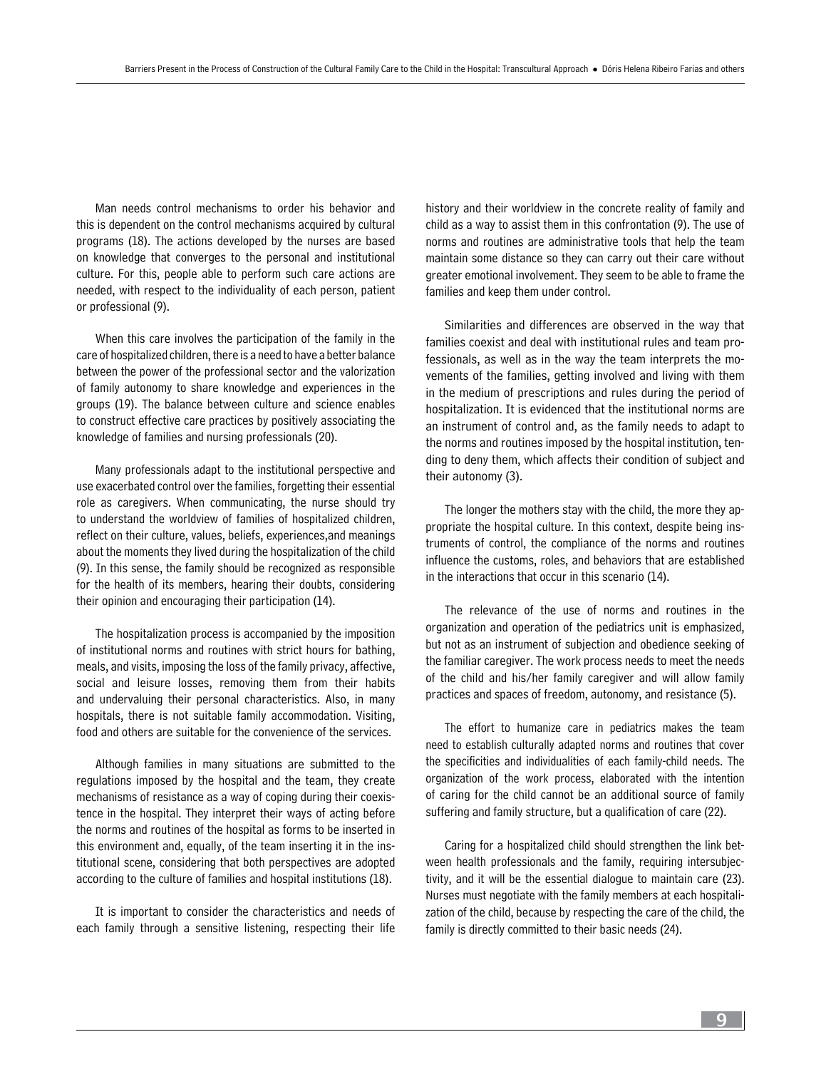Man needs control mechanisms to order his behavior and this is dependent on the control mechanisms acquired by cultural programs (18). The actions developed by the nurses are based on knowledge that converges to the personal and institutional culture. For this, people able to perform such care actions are needed, with respect to the individuality of each person, patient or professional (9).

When this care involves the participation of the family in the care of hospitalized children, there is a need to have a better balance between the power of the professional sector and the valorization of family autonomy to share knowledge and experiences in the groups (19). The balance between culture and science enables to construct effective care practices by positively associating the knowledge of families and nursing professionals (20).

Many professionals adapt to the institutional perspective and use exacerbated control over the families, forgetting their essential role as caregivers. When communicating, the nurse should try to understand the worldview of families of hospitalized children, reflect on their culture, values, beliefs, experiences,and meanings about the moments they lived during the hospitalization of the child (9). In this sense, the family should be recognized as responsible for the health of its members, hearing their doubts, considering their opinion and encouraging their participation (14).

The hospitalization process is accompanied by the imposition of institutional norms and routines with strict hours for bathing, meals, and visits, imposing the loss of the family privacy, affective, social and leisure losses, removing them from their habits and undervaluing their personal characteristics. Also, in many hospitals, there is not suitable family accommodation. Visiting, food and others are suitable for the convenience of the services.

Although families in many situations are submitted to the regulations imposed by the hospital and the team, they create mechanisms of resistance as a way of coping during their coexistence in the hospital. They interpret their ways of acting before the norms and routines of the hospital as forms to be inserted in this environment and, equally, of the team inserting it in the institutional scene, considering that both perspectives are adopted according to the culture of families and hospital institutions (18).

It is important to consider the characteristics and needs of each family through a sensitive listening, respecting their life history and their worldview in the concrete reality of family and child as a way to assist them in this confrontation (9). The use of norms and routines are administrative tools that help the team maintain some distance so they can carry out their care without greater emotional involvement. They seem to be able to frame the families and keep them under control.

Similarities and differences are observed in the way that families coexist and deal with institutional rules and team professionals, as well as in the way the team interprets the movements of the families, getting involved and living with them in the medium of prescriptions and rules during the period of hospitalization. It is evidenced that the institutional norms are an instrument of control and, as the family needs to adapt to the norms and routines imposed by the hospital institution, tending to deny them, which affects their condition of subject and their autonomy (3).

The longer the mothers stay with the child, the more they appropriate the hospital culture. In this context, despite being instruments of control, the compliance of the norms and routines influence the customs, roles, and behaviors that are established in the interactions that occur in this scenario (14).

The relevance of the use of norms and routines in the organization and operation of the pediatrics unit is emphasized, but not as an instrument of subjection and obedience seeking of the familiar caregiver. The work process needs to meet the needs of the child and his/her family caregiver and will allow family practices and spaces of freedom, autonomy, and resistance (5).

The effort to humanize care in pediatrics makes the team need to establish culturally adapted norms and routines that cover the specificities and individualities of each family-child needs. The organization of the work process, elaborated with the intention of caring for the child cannot be an additional source of family suffering and family structure, but a qualification of care (22).

Caring for a hospitalized child should strengthen the link between health professionals and the family, requiring intersubjectivity, and it will be the essential dialogue to maintain care (23). Nurses must negotiate with the family members at each hospitalization of the child, because by respecting the care of the child, the family is directly committed to their basic needs (24).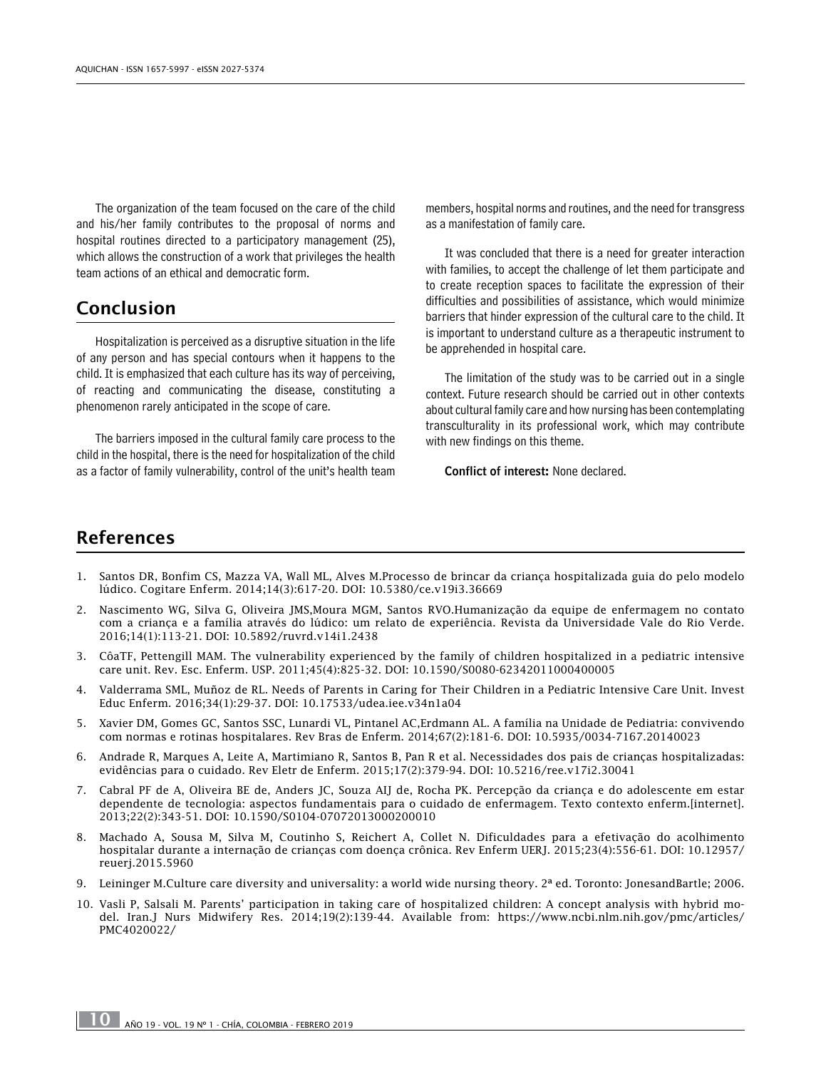The organization of the team focused on the care of the child and his/her family contributes to the proposal of norms and hospital routines directed to a participatory management (25), which allows the construction of a work that privileges the health team actions of an ethical and democratic form.

# Conclusion

Hospitalization is perceived as a disruptive situation in the life of any person and has special contours when it happens to the child. It is emphasized that each culture has its way of perceiving, of reacting and communicating the disease, constituting a phenomenon rarely anticipated in the scope of care.

The barriers imposed in the cultural family care process to the child in the hospital, there is the need for hospitalization of the child as a factor of family vulnerability, control of the unit's health team members, hospital norms and routines, and the need for transgress as a manifestation of family care.

It was concluded that there is a need for greater interaction with families, to accept the challenge of let them participate and to create reception spaces to facilitate the expression of their difficulties and possibilities of assistance, which would minimize barriers that hinder expression of the cultural care to the child. It is important to understand culture as a therapeutic instrument to be apprehended in hospital care.

The limitation of the study was to be carried out in a single context. Future research should be carried out in other contexts about cultural family care and how nursing has been contemplating transculturality in its professional work, which may contribute with new findings on this theme.

Conflict of interest: None declared.

# References

- 1. Santos DR, Bonfim CS, Mazza VA, Wall ML, Alves M.Processo de brincar da criança hospitalizada guia do pelo modelo lúdico. Cogitare Enferm. 2014;14(3):617-20. DOI: [10.5380/ce.v19i3.36669](http://dx.doi.org/10.5380/ce.v19i3.36669)
- 2. Nascimento WG, Silva G, Oliveira JMS,Moura MGM, Santos RVO.Humanização da equipe de enfermagem no contato com a criança e a família através do lúdico: um relato de experiência. Revista da Universidade Vale do Rio Verde. 2016;14(1):113-21. DOI: [10.5892/ruvrd.v14i1.2438](http://dx.doi.org/10.5892/ruvrd.v14i1.2438)
- 3. CôaTF, Pettengill MAM. The vulnerability experienced by the family of children hospitalized in a pediatric intensive care unit. Rev. Esc. Enferm. USP. 2011;45(4):825-32. DOI: [10.1590/S0080-62342011000400005](http://dx.doi.org/10.1590/S0080-62342011000400005)
- 4. [Valderrama SML,](https://www.ncbi.nlm.nih.gov/pubmed/?term=Valderrama Sanabria ML%5BAuthor%5D&cauthor=true&cauthor_uid=28569971) [Muñoz de RL.](https://www.ncbi.nlm.nih.gov/pubmed/?term=Mu%C3%B1oz de Rodr%C3%ADguez L%5BAuthor%5D&cauthor=true&cauthor_uid=28569971) Needs of Parents in Caring for Their Children in a Pediatric Intensive Care Unit. Invest Educ Enferm. 2016;34(1):29-37. DOI: [10.17533/udea.iee.v34n1a04](http://dx.doi.org/10.17533/udea.iee.v34n1a04)
- 5. Xavier DM, Gomes GC, Santos SSC, Lunardi VL, Pintanel AC,Erdmann AL. A família na Unidade de Pediatria: convivendo com normas e rotinas hospitalares. Rev Bras de Enferm. 2014;67(2):181-6. DOI: [10.5935/0034-7167.20140023](http://dx.doi.org/10.5935/0034-7167.20140023)
- 6. Andrade R, Marques A, Leite A, Martimiano R, Santos B, Pan R et al. Necessidades dos pais de crianças hospitalizadas: evidências para o cuidado. Rev Eletr de Enferm. 2015;17(2):379-94. DOI: [10.5216/ree.v17i2.30041](http://dx.doi.org/10.5216/ree.v17i2.30041)
- 7. Cabral PF de A, Oliveira BE de, Anders JC, Souza AIJ de, Rocha PK. Percepção da criança e do adolescente em estar dependente de tecnologia: aspectos fundamentais para o cuidado de enfermagem. Texto contexto enferm.[internet]. 2013;22(2):343-51. DOI: [10.1590/S0104-07072013000200010](http://dx.doi.org/10.1590/S0104-07072013000200010)
- 8. Machado A, Sousa M, Silva M, Coutinho S, Reichert A, Collet N. Dificuldades para a efetivação do acolhimento hospitalar durante a internação de crianças com doença crônica. Rev Enferm UERJ. 2015;23(4):556-61. DOI: [10.12957/](http://dx.doi.org/10.12957/reuerj.2015.5960) [reuerj.2015.5960](http://dx.doi.org/10.12957/reuerj.2015.5960)
- 9. Leininger M.Culture care diversity and universality: a world wide nursing theory. 2ª ed. Toronto: JonesandBartle; 2006.
- 10. Vasli P, Salsali M. Parents' participation in taking care of hospitalized children: A concept analysis with hybrid model. Iran.J Nurs Midwifery Res. 2014;19(2):139-44. Available from: [https://www.ncbi.nlm.nih.gov/pmc/articles/](https://www.ncbi.nlm.nih.gov/pmc/articles/PMC4020022/) [PMC4020022/](https://www.ncbi.nlm.nih.gov/pmc/articles/PMC4020022/)